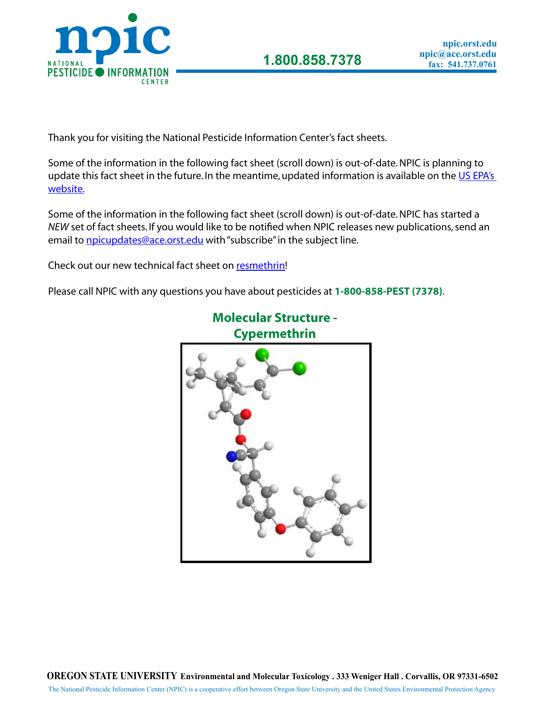

Thank you for visiting the National Pesticide Information Center's fact sheets.

Some of the information in the following fact sheet (scroll down) is out-of-date. NPIC is planning to update this fact sheet in the future. In the meantime, updated information is available on the US EPA's [website.](http://www.epa.gov/pesticides/reregistration/cypermethrin/)

Some of the information in the following fact sheet (scroll down) is out-of-date. NPIC has started a *NEW* set of fact sheets. If you would like to be notified when NPIC releases new publications, send an email to npicupdates@ace.orst.edu with "subscribe" in the subject line.

Check out our new technical fact sheet on [resmethrin](http://www.npic.orst.edu/factsheets/ResTech.pdf)!

Please call NPIC with any questions you have about pesticides at **1-800-858-PEST (7378)**.



**Molecular Structure -** 

The National Pesticide Information Center (NPIC) is a cooperative effort between Oregon State University and the United States Environmental Protection Agency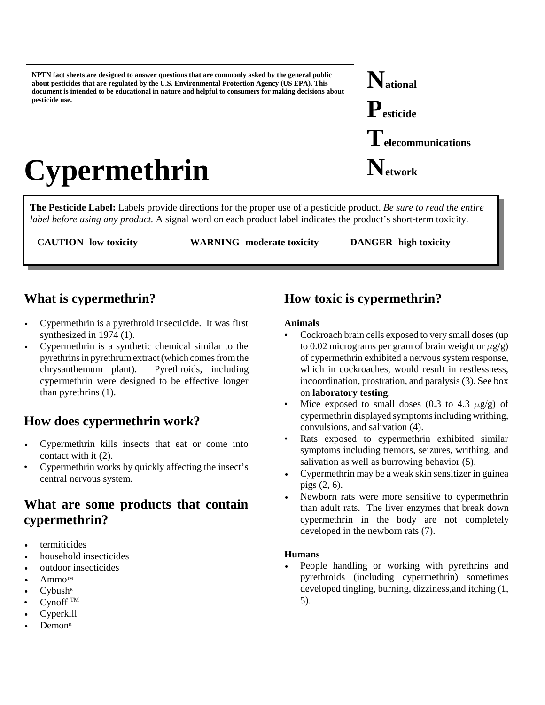**NPTN fact sheets are designed to answer questions that are commonly asked by the general public about pesticides that are regulated by the U.S. Environmental Protection Agency (US EPA). This document is intended to be educational in nature and helpful to consumers for making decisions about pesticide use.**

# **Cypermethrin**

**The Pesticide Label:** Labels provide directions for the proper use of a pesticide product. *Be sure to read the entire label before using any product.* A signal word on each product label indicates the product's short-term toxicity.

**CAUTION- low toxicity WARNING- moderate toxicity DANGER- high toxicity**

## **What is cypermethrin?**

- Cypermethrin is a pyrethroid insecticide. It was first synthesized in 1974 (1).
- Cypermethrin is a synthetic chemical similar to the pyrethrins in pyrethrum extract (which comes fromthe chrysanthemum plant). Pyrethroids, including cypermethrin were designed to be effective longer than pyrethrins (1).

## **How does cypermethrin work?**

- Cypermethrin kills insects that eat or come into contact with it (2).
- Cypermethrin works by quickly affecting the insect's central nervous system.

## **What are some products that contain cypermethrin?**

- termiticides
- household insecticides
- outdoor insecticides
- $Ammo<sup>TM</sup>$
- $C$ ybush $R$
- $C$ ynoff  $^{TM}$
- **Cyperkill**
- $Demon<sup>R</sup>$

## **How toxic is cypermethrin?**

### **Animals**

- Cockroach brain cells exposed to very small doses (up to 0.02 micrograms per gram of brain weight or  $\mu$ g/g) of cypermethrin exhibited a nervous system response, which in cockroaches, would result in restlessness, incoordination, prostration, and paralysis (3). See box on **laboratory testing**.
- Mice exposed to small doses (0.3 to 4.3  $\mu$ g/g) of cypermethrin displayed symptoms including writhing, convulsions, and salivation (4).
- Rats exposed to cypermethrin exhibited similar symptoms including tremors, seizures, writhing, and salivation as well as burrowing behavior (5).
- Cypermethrin may be a weak skin sensitizer in guinea pigs (2, 6).
- Newborn rats were more sensitive to cypermethrin than adult rats. The liver enzymes that break down cypermethrin in the body are not completely developed in the newborn rats (7).

### **Humans**

People handling or working with pyrethrins and pyrethroids (including cypermethrin) sometimes developed tingling, burning, dizziness,and itching (1, 5).

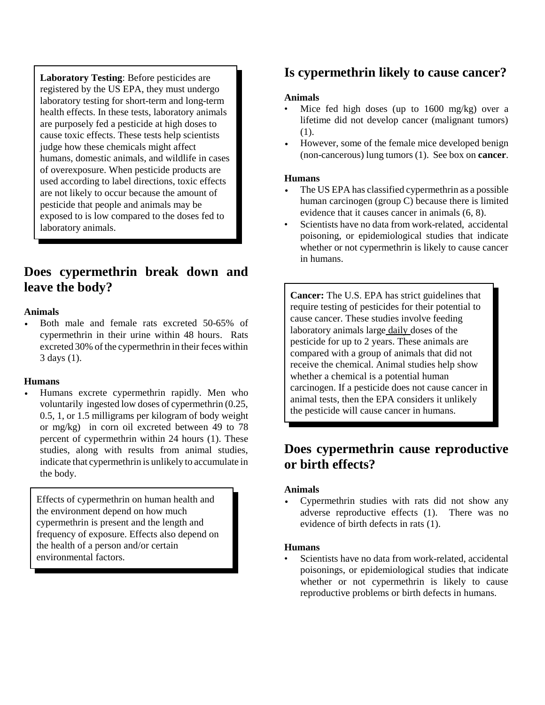**Laboratory Testing**: Before pesticides are registered by the US EPA, they must undergo laboratory testing for short-term and long-term health effects. In these tests, laboratory animals are purposely fed a pesticide at high doses to cause toxic effects. These tests help scientists judge how these chemicals might affect humans, domestic animals, and wildlife in cases of overexposure. When pesticide products are used according to label directions, toxic effects are not likely to occur because the amount of pesticide that people and animals may be exposed to is low compared to the doses fed to laboratory animals.

## **Does cypermethrin break down and leave the body?**

### **Animals**

Both male and female rats excreted 50-65% of cypermethrin in their urine within 48 hours. Rats excreted 30% of the cypermethrin in their feces within 3 days (1).

### **Humans**

Humans excrete cypermethrin rapidly. Men who voluntarily ingested low doses of cypermethrin (0.25, 0.5, 1, or 1.5 milligrams per kilogram of body weight or mg/kg) in corn oil excreted between 49 to 78 percent of cypermethrin within 24 hours (1). These studies, along with results from animal studies, indicate that cypermethrin is unlikely to accumulate in the body.

Effects of cypermethrin on human health and the environment depend on how much cypermethrin is present and the length and frequency of exposure. Effects also depend on the health of a person and/or certain environmental factors.

## **Is cypermethrin likely to cause cancer?**

#### **Animals**

- Mice fed high doses (up to 1600 mg/kg) over a lifetime did not develop cancer (malignant tumors) (1).
- However, some of the female mice developed benign (non-cancerous) lung tumors (1). See box on **cancer**.

#### **Humans**

- The US EPA has classified cypermethrin as a possible human carcinogen (group C) because there is limited evidence that it causes cancer in animals (6, 8).
- Scientists have no data from work-related, accidental poisoning, or epidemiological studies that indicate whether or not cypermethrin is likely to cause cancer in humans.

**Cancer:** The U.S. EPA has strict guidelines that require testing of pesticides for their potential to cause cancer. These studies involve feeding laboratory animals large daily doses of the pesticide for up to 2 years. These animals are compared with a group of animals that did not receive the chemical. Animal studies help show whether a chemical is a potential human carcinogen. If a pesticide does not cause cancer in animal tests, then the EPA considers it unlikely the pesticide will cause cancer in humans.

## **Does cypermethrin cause reproductive or birth effects?**

#### **Animals**

• Cypermethrin studies with rats did not show any adverse reproductive effects (1). There was no evidence of birth defects in rats (1).

#### **Humans**

Scientists have no data from work-related, accidental poisonings, or epidemiological studies that indicate whether or not cypermethrin is likely to cause reproductive problems or birth defects in humans.